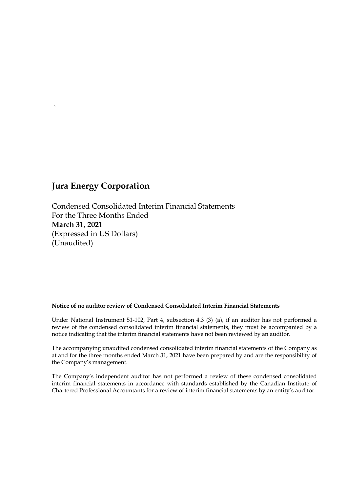`

Condensed Consolidated Interim Financial Statements For the Three Months Ended **March 31, 2021** (Expressed in US Dollars) (Unaudited)

#### **Notice of no auditor review of Condensed Consolidated Interim Financial Statements**

Under National Instrument 51-102, Part 4, subsection 4.3 (3) (a), if an auditor has not performed a review of the condensed consolidated interim financial statements, they must be accompanied by a notice indicating that the interim financial statements have not been reviewed by an auditor.

The accompanying unaudited condensed consolidated interim financial statements of the Company as at and for the three months ended March 31, 2021 have been prepared by and are the responsibility of the Company's management.

The Company's independent auditor has not performed a review of these condensed consolidated interim financial statements in accordance with standards established by the Canadian Institute of Chartered Professional Accountants for a review of interim financial statements by an entity's auditor.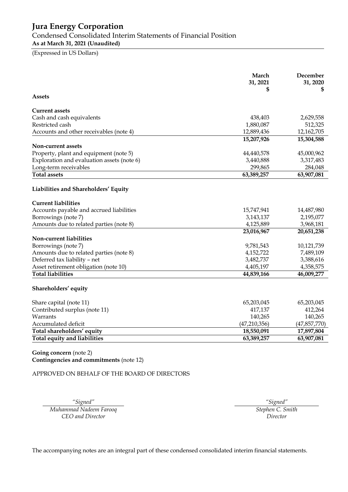Condensed Consolidated Interim Statements of Financial Position

**As at March 31, 2021 (Unaudited)**

(Expressed in US Dollars)

|                                            | March<br>31, 2021<br>\$ | December<br>31, 2020<br>\$ |
|--------------------------------------------|-------------------------|----------------------------|
| Assets                                     |                         |                            |
| Current assets                             |                         |                            |
| Cash and cash equivalents                  | 438,403                 | 2,629,558                  |
| Restricted cash                            | 1,880,087               | 512,325                    |
| Accounts and other receivables (note 4)    | 12,889,436              | 12,162,705                 |
|                                            | 15,207,926              | 15,304,588                 |
| Non-current assets                         |                         |                            |
| Property, plant and equipment (note 5)     | 44,440,578              | 45,000,962                 |
| Exploration and evaluation assets (note 6) | 3,440,888               | 3,317,483                  |
| Long-term receivables                      | 299,865                 | 284,048                    |
| <b>Total assets</b>                        | 63,389,257              | 63,907,081                 |
| Liabilities and Shareholders' Equity       |                         |                            |
| <b>Current liabilities</b>                 |                         |                            |
| Accounts payable and accrued liabilities   | 15,747,941              | 14,487,980                 |
| Borrowings (note 7)                        | 3,143,137               | 2,195,077                  |
| Amounts due to related parties (note 8)    | 4,125,889               | 3,968,181                  |
|                                            | 23,016,967              | 20,651,238                 |
| Non-current liabilities                    |                         |                            |
| Borrowings (note 7)                        | 9,781,543               | 10,121,739                 |
| Amounts due to related parties (note 8)    | 4,152,722               | 7,489,109                  |
| Deferred tax liability - net               | 3,482,737               | 3,388,616                  |
| Asset retirement obligation (note 10)      | 4,405,197               | 4,358,575                  |
| <b>Total liabilities</b>                   | 44,839,166              | 46,009,277                 |
| Shareholders' equity                       |                         |                            |
| Share capital (note 11)                    | 65,203,045              | 65,203,045                 |
| Contributed surplus (note 11)              | 417,137                 | 412,264                    |
| Warrants                                   | 140,265                 | 140,265                    |
| Accumulated deficit                        | (47,210,356)            | (47,857,770)               |
| Total shareholders' equity                 | 18,550,091              | 17,897,804                 |
| Total equity and liabilities               | 63,389,257              | 63,907,081                 |
|                                            |                         |                            |

**Going concern** (note 2) **Contingencies and commitments** (note 12)

APPROVED ON BEHALF OF THE BOARD OF DIRECTORS

*Muhammad Nadeem Farooq CEO and Director*

*"Signed" "Signed" Stephen C. Smith Director*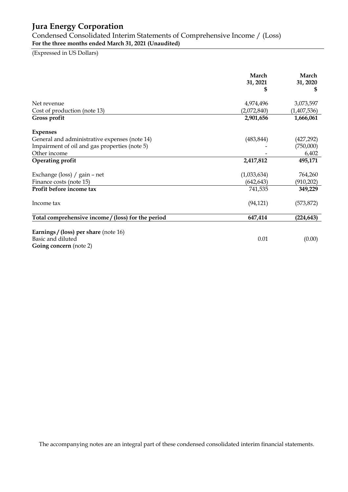Condensed Consolidated Interim Statements of Comprehensive Income / (Loss) **For the three months ended March 31, 2021 (Unaudited)**

(Expressed in US Dollars)

|                                                                                             | March<br>31, 2021<br>\$ | March<br>31, 2020<br>\$ |
|---------------------------------------------------------------------------------------------|-------------------------|-------------------------|
| Net revenue                                                                                 | 4,974,496               | 3,073,597               |
| Cost of production (note 13)                                                                | (2,072,840)             | (1,407,536)             |
| Gross profit                                                                                | 2,901,656               | 1,666,061               |
| <b>Expenses</b>                                                                             |                         |                         |
| General and administrative expenses (note 14)                                               | (483, 844)              | (427, 292)              |
| Impairment of oil and gas properties (note 5)                                               |                         | (750,000)               |
| Other income                                                                                |                         | 6,402                   |
| <b>Operating profit</b>                                                                     | 2,417,812               | 495,171                 |
| Exchange (loss) / gain - net                                                                | (1,033,634)             | 764,260                 |
| Finance costs (note 15)                                                                     | (642, 643)              | (910, 202)              |
| Profit before income tax                                                                    | 741,535                 | 349,229                 |
| Income tax                                                                                  | (94, 121)               | (573, 872)              |
| Total comprehensive income / (loss) for the period                                          | 647,414                 | (224, 643)              |
| <b>Earnings / (loss) per share (note 16)</b><br>Basic and diluted<br>Going concern (note 2) | 0.01                    | (0.00)                  |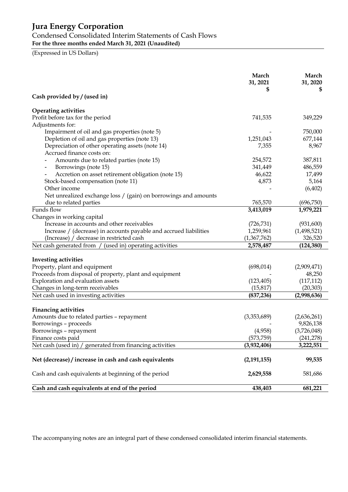## Condensed Consolidated Interim Statements of Cash Flows

**For the three months ended March 31, 2021 (Unaudited)**

(Expressed in US Dollars)

|                                                                   | March<br>31, 2021<br>\$ | March<br>31, 2020<br>5 |
|-------------------------------------------------------------------|-------------------------|------------------------|
| Cash provided by / (used in)                                      |                         |                        |
| <b>Operating activities</b>                                       |                         |                        |
| Profit before tax for the period                                  | 741,535                 | 349,229                |
| Adjustments for:                                                  |                         |                        |
| Impairment of oil and gas properties (note 5)                     |                         | 750,000                |
| Depletion of oil and gas properties (note 13)                     | 1,251,043               | 677,144                |
| Depreciation of other operating assets (note 14)                  | 7,355                   | 8,967                  |
| Accrued finance costs on:                                         |                         |                        |
| Amounts due to related parties (note 15)                          | 254,572                 | 387,811                |
| Borrowings (note 15)<br>-                                         | 341,449                 | 486,559                |
| Accretion on asset retirement obligation (note 15)                | 46,622                  | 17,499                 |
| Stock-based compensation (note 11)                                | 4,873                   | 5,164                  |
| Other income                                                      |                         | (6,402)                |
| Net unrealized exchange loss / (gain) on borrowings and amounts   |                         |                        |
| due to related parties                                            | 765,570                 | (696,750)              |
| Funds flow                                                        | 3,413,019               | 1,979,221              |
| Changes in working capital                                        |                         |                        |
| Increase in accounts and other receivables                        | (726, 731)              | (931,600)              |
| Increase / (decrease) in accounts payable and accrued liabilities | 1,259,961               | (1,498,521)            |
| (Increase) / decrease in restricted cash                          | (1,367,762)             | 326,520                |
| Net cash generated from / (used in) operating activities          | 2,578,487               | (124, 380)             |
| <b>Investing activities</b>                                       |                         |                        |
| Property, plant and equipment                                     | (698, 014)              | (2,909,471)            |
| Proceeds from disposal of property, plant and equipment           |                         | 48,250                 |
| Exploration and evaluation assets                                 | (123, 405)              | (117, 112)             |
| Changes in long-term receivables                                  | (15, 817)               | (20, 303)              |
| Net cash used in investing activities                             | (837, 236)              | (2,998,636)            |
|                                                                   |                         |                        |
| <b>Financing activities</b>                                       |                         |                        |
| Amounts due to related parties - repayment                        | (3,353,689)             | (2,636,261)            |
| Borrowings - proceeds                                             |                         | 9,826,138              |
| Borrowings - repayment                                            | (4,958)                 | (3,726,048)            |
| Finance costs paid                                                | (573, 759)              | (241, 278)             |
| generated from financing activities<br>Net cash (used in) /       | (3,932,406)             | 3,222,551              |
| Net (decrease) / increase in cash and cash equivalents            | (2, 191, 155)           | 99,535                 |
| Cash and cash equivalents at beginning of the period              | 2,629,558               | 581,686                |
| Cash and cash equivalents at end of the period                    | 438,403                 | 681,221                |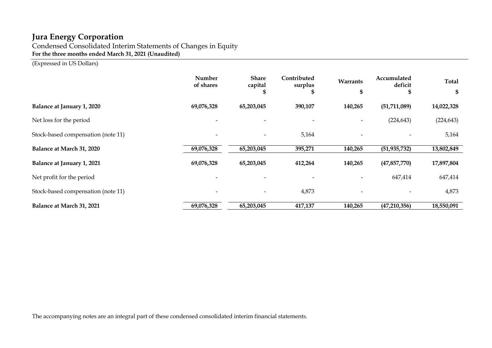Condensed Consolidated Interim Statements of Changes in Equity **For the three months ended March 31, 2021 (Unaudited)**

(Expressed in US Dollars)

|                                    | Number<br>of shares | <b>Share</b><br>capital<br>S | Contributed<br>surplus | Warrants<br>л | Accumulated<br>deficit | <b>Total</b><br>\$ |
|------------------------------------|---------------------|------------------------------|------------------------|---------------|------------------------|--------------------|
| <b>Balance at January 1, 2020</b>  | 69,076,328          | 65,203,045                   | 390,107                | 140,265       | (51, 711, 089)         | 14,022,328         |
| Net loss for the period            |                     |                              |                        |               | (224, 643)             | (224, 643)         |
| Stock-based compensation (note 11) |                     | $\overline{\phantom{a}}$     | 5,164                  |               |                        | 5,164              |
| Balance at March 31, 2020          | 69,076,328          | 65,203,045                   | 395,271                | 140,265       | (51, 935, 732)         | 13,802,849         |
| Balance at January 1, 2021         | 69,076,328          | 65,203,045                   | 412,264                | 140,265       | (47, 857, 770)         | 17,897,804         |
| Net profit for the period          |                     |                              |                        |               | 647,414                | 647,414            |
| Stock-based compensation (note 11) |                     | $\overline{\phantom{m}}$     | 4,873                  |               |                        | 4,873              |
| Balance at March 31, 2021          | 69,076,328          | 65,203,045                   | 417,137                | 140,265       | (47,210,356)           | 18,550,091         |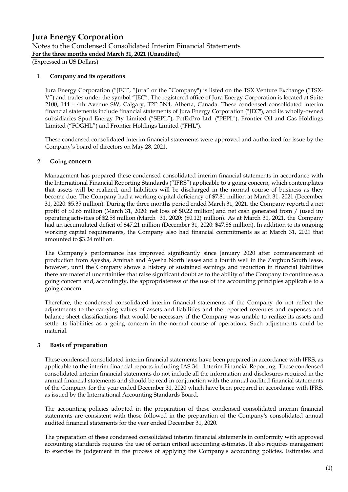(Expressed in US Dollars)

#### **1 Company and its operations**

Jura Energy Corporation ("JEC", "Jura" or the "Company") is listed on the TSX Venture Exchange ("TSX-V") and trades under the symbol "JEC". The registered office of Jura Energy Corporation is located at Suite 2100, 144 – 4th Avenue SW, Calgary, T2P 3N4, Alberta, Canada. These condensed consolidated interim financial statements include financial statements of Jura Energy Corporation ("JEC"), and its wholly-owned subsidiaries Spud Energy Pty Limited ("SEPL"), PetExPro Ltd. ("PEPL"), Frontier Oil and Gas Holdings Limited ("FOGHL") and Frontier Holdings Limited ("FHL").

These condensed consolidated interim financial statements were approved and authorized for issue by the Company's board of directors on May 28, 2021.

#### **2 Going concern**

Management has prepared these condensed consolidated interim financial statements in accordance with the International Financial Reporting Standards ("IFRS") applicable to a going concern, which contemplates that assets will be realized, and liabilities will be discharged in the normal course of business as they become due. The Company had a working capital deficiency of \$7.81 million at March 31, 2021 (December 31, 2020: \$5.35 million). During the three months period ended March 31, 2021, the Company reported a net profit of \$0.65 million (March 31, 2020: net loss of \$0.22 million) and net cash generated from / (used in) operating activities of \$2.58 million (March 31, 2020: (\$0.12) million). As at March 31, 2021, the Company had an accumulated deficit of \$47.21 million (December 31, 2020: \$47.86 million). In addition to its ongoing working capital requirements, the Company also had financial commitments as at March 31, 2021 that amounted to \$3.24 million.

The Company's performance has improved significantly since January 2020 after commencement of production from Ayesha, Aminah and Ayesha North leases and a fourth well in the Zarghun South lease, however, until the Company shows a history of sustained earnings and reduction in financial liabilities there are material uncertainties that raise significant doubt as to the ability of the Company to continue as a going concern and, accordingly, the appropriateness of the use of the accounting principles applicable to a going concern.

Therefore, the condensed consolidated interim financial statements of the Company do not reflect the adjustments to the carrying values of assets and liabilities and the reported revenues and expenses and balance sheet classifications that would be necessary if the Company was unable to realize its assets and settle its liabilities as a going concern in the normal course of operations. Such adjustments could be material.

#### **3 Basis of preparation**

These condensed consolidated interim financial statements have been prepared in accordance with IFRS, as applicable to the interim financial reports including IAS 34 - Interim Financial Reporting. These condensed consolidated interim financial statements do not include all the information and disclosures required in the annual financial statements and should be read in conjunction with the annual audited financial statements of the Company for the year ended December 31, 2020 which have been prepared in accordance with IFRS, as issued by the International Accounting Standards Board.

The accounting policies adopted in the preparation of these condensed consolidated interim financial statements are consistent with those followed in the preparation of the Company's consolidated annual audited financial statements for the year ended December 31, 2020.

The preparation of these condensed consolidated interim financial statements in conformity with approved accounting standards requires the use of certain critical accounting estimates. It also requires management to exercise its judgement in the process of applying the Company's accounting policies. Estimates and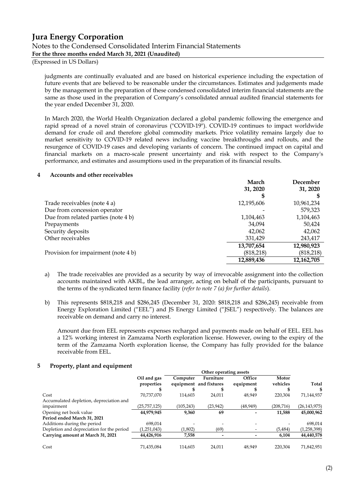(Expressed in US Dollars)

judgments are continually evaluated and are based on historical experience including the expectation of future events that are believed to be reasonable under the circumstances. Estimates and judgements made by the management in the preparation of these condensed consolidated interim financial statements are the same as those used in the preparation of Company's consolidated annual audited financial statements for the year ended December 31, 2020.

In March 2020, the World Health Organization declared a global pandemic following the emergence and rapid spread of a novel strain of coronavirus ("COVID-19"). COVID-19 continues to impact worldwide demand for crude oil and therefore global commodity markets. Price volatility remains largely due to market sensitivity to COVID-19 related news including vaccine breakthroughs and rollouts, and the resurgence of COVID-19 cases and developing variants of concern. The continued impact on capital and financial markets on a macro-scale present uncertainty and risk with respect to the Company's performance, and estimates and assumptions used in the preparation of its financial results.

#### **4 Accounts and other receivables**

|                                     | March      | December   |
|-------------------------------------|------------|------------|
|                                     | 31, 2020   | 31, 2020   |
|                                     | S          |            |
| Trade receivables (note 4 a)        | 12,195,606 | 10,961,234 |
| Due from concession operator        |            | 579,323    |
| Due from related parties (note 4 b) | 1,104,463  | 1,104,463  |
| Prepayments                         | 34,094     | 50,424     |
| Security deposits                   | 42,062     | 42,062     |
| Other receivables                   | 331,429    | 243,417    |
|                                     | 13,707,654 | 12,980,923 |
| Provision for impairment (note 4 b) | (818, 218) | (818, 218) |
|                                     | 12,889,436 | 12,162,705 |

- a) The trade receivables are provided as a security by way of irrevocable assignment into the collection accounts maintained with AKBL, the lead arranger, acting on behalf of the participants, pursuant to the terms of the syndicated term finance facility (*refer to note 7 (a) for further details*).
- b) This represents \$818,218 and \$286,245 (December 31, 2020: \$818,218 and \$286,245) receivable from Energy Exploration Limited ("EEL") and JS Energy Limited ("JSEL") respectively. The balances are receivable on demand and carry no interest.

Amount due from EEL represents expenses recharged and payments made on behalf of EEL. EEL has a 12% working interest in Zamzama North exploration license. However, owing to the expiry of the term of the Zamzama North exploration license, the Company has fully provided for the balance receivable from EEL.

#### **5 Property, plant and equipment**

|                                           |              |            | Other operating assets |           |           |              |
|-------------------------------------------|--------------|------------|------------------------|-----------|-----------|--------------|
|                                           | Oil and gas  | Computer   | Furniture              | Office    | Motor     |              |
|                                           | properties   |            | equipment and fixtures | equipment | vehicles  | Total        |
|                                           |              |            |                        |           |           |              |
| Cost                                      | 70.737.070   | 114,603    | 24,011                 | 48,949    | 220,304   | 71,144,937   |
| Accumulated depletion, depreciation and   |              |            |                        |           |           |              |
| impairment                                | (25,757,125) | (105, 243) | (23,942)               | (48, 949) | (208,716) | (26,143,975) |
| Opening net book value                    | 44,979,945   | 9,360      | 69                     |           | 11,588    | 45,000,962   |
| Period ended March 31, 2021               |              |            |                        |           |           |              |
| Additions during the period               | 698.014      |            |                        |           |           | 698,014      |
| Depletion and depreciation for the period | (1,251,043)  | (1,802)    | (69)                   |           | (5,484)   | (1,258,398)  |
| Carrying amount at March 31, 2021         | 44,426,916   | 7,558      |                        |           | 6,104     | 44,440,578   |
| Cost                                      | 71,435,084   | 114,603    | 24.011                 | 48.949    | 220.304   | 71,842,951   |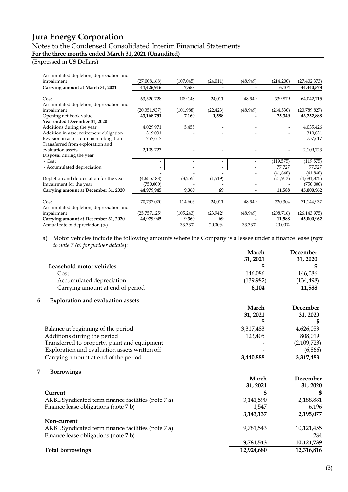# Notes to the Condensed Consolidated Interim Financial Statements

### **For the three months ended March 31, 2021 (Unaudited)**

### (Expressed in US Dollars)

| Accumulated depletion, depreciation and |                |            |                              |           |            |                |
|-----------------------------------------|----------------|------------|------------------------------|-----------|------------|----------------|
| impairment                              | (27,008,168)   | (107, 045) | (24, 011)                    | (48, 949) | (214,200)  | (27, 402, 373) |
| Carrying amount at March 31, 2021       | 44,426,916     | 7,558      | $\qquad \qquad \blacksquare$ |           | 6,104      | 44,440,578     |
|                                         |                |            |                              |           |            |                |
| Cost                                    | 63,520,728     | 109,148    | 24,011                       | 48,949    | 339,879    | 64,042,715     |
| Accumulated depletion, depreciation and |                |            |                              |           |            |                |
| impairment                              | (20, 351, 937) | (101,988)  | (22, 423)                    | (48, 949) | (264, 530) | (20,789,827)   |
| Opening net book value                  | 43,168,791     | 7,160      | 1,588                        |           | 75,349     | 43,252,888     |
| Year ended December 31, 2020            |                |            |                              |           |            |                |
| Additions during the year               | 4,029,971      | 5,455      |                              |           |            | 4,035,426      |
| Addition in asset retirement obligation | 319,031        |            |                              |           |            | 319,031        |
| Revision in asset retirement obligation | 757,617        |            |                              |           |            | 757,617        |
| Transferred from exploration and        |                |            |                              |           |            |                |
| evaluation assets                       | 2,109,723      |            |                              |           |            | 2,109,723      |
| Disposal during the year                |                |            |                              |           |            |                |
| - Cost                                  |                |            | $\overline{\phantom{a}}$     |           | (119, 575) | (119, 575)     |
| - Accumulated depreciation              |                |            |                              |           | 77,727     | 77,727         |
|                                         |                |            |                              |           | (41, 848)  | (41, 848)      |
| Depletion and depreciation for the year | (4,655,188)    | (3,255)    | (1,519)                      |           | (21, 913)  | (4,681,875)    |
| Impairment for the year                 | (750,000)      |            |                              |           |            | (750,000)      |
| Carrying amount at December 31, 2020    | 44,979,945     | 9,360      | 69                           | -         | 11,588     | 45,000,962     |
|                                         |                |            |                              |           |            |                |
| Cost                                    | 70,737,070     | 114,603    | 24,011                       | 48,949    | 220,304    | 71,144,937     |
| Accumulated depletion, depreciation and |                |            |                              |           |            |                |
| impairment                              | (25, 757, 125) | (105, 243) | (23, 942)                    | (48, 949) | (208, 716) | (26, 143, 975) |
| Carrying amount at December 31, 2020    | 44,979,945     | 9,360      | 69                           |           | 11,588     | 45,000,962     |
| Annual rate of depreciation (%)         |                | 33.33%     | 20.00%                       | 33.33%    | 20.00%     |                |

a) Motor vehicles include the following amounts where the Company is a lessee under a finance lease (*refer to note 7 (b) for further details*):

| March     | December   |
|-----------|------------|
|           | 31, 2020   |
|           |            |
| 146.086   | 146,086    |
| (139,982) | (134, 498) |
| 6.104     | 11,588     |
|           | 31, 2021   |

#### **6 Exploration and evaluation assets**

| March     | December    |  |
|-----------|-------------|--|
| 31, 2021  | 31, 2020    |  |
|           |             |  |
| 3,317,483 | 4,626,053   |  |
| 123,405   | 808,019     |  |
|           | (2,109,723) |  |
|           | (6,866)     |  |
| 3,440,888 | 3,317,483   |  |
|           |             |  |

#### **7 Borrowings**

| 100110111150<br>Current                            | March<br>31, 2021 | December<br>31, 2020 |
|----------------------------------------------------|-------------------|----------------------|
| AKBL Syndicated term finance facilities (note 7 a) | 3,141,590         | 2,188,881            |
| Finance lease obligations (note 7 b)               | 1.547             | 6,196                |
|                                                    | 3,143,137         | 2,195,077            |
| Non-current                                        |                   |                      |
| AKBL Syndicated term finance facilities (note 7 a) | 9,781,543         | 10,121,455           |
| Finance lease obligations (note 7 b)               |                   | 284                  |
|                                                    | 9,781,543         | 10,121,739           |
| <b>Total borrowings</b>                            | 12,924,680        | 12,316,816           |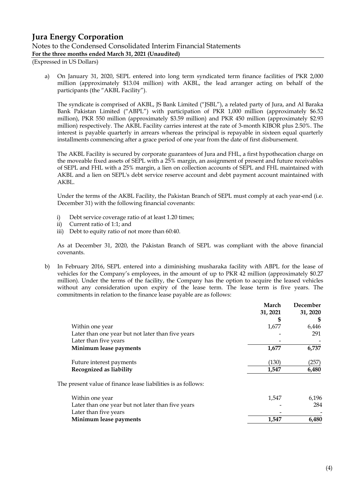(Expressed in US Dollars)

a) On January 31, 2020, SEPL entered into long term syndicated term finance facilities of PKR 2,000 million (approximately \$13.04 million) with AKBL, the lead arranger acting on behalf of the participants (the "AKBL Facility").

The syndicate is comprised of AKBL, JS Bank Limited ("JSBL"), a related party of Jura, and Al Baraka Bank Pakistan Limited ("ABPL") with participation of PKR 1,000 million (approximately \$6.52 million), PKR 550 million (approximately \$3.59 million) and PKR 450 million (approximately \$2.93 million) respectively. The AKBL Facility carries interest at the rate of 3-month KIBOR plus 2.50%. The interest is payable quarterly in arrears whereas the principal is repayable in sixteen equal quarterly installments commencing after a grace period of one year from the date of first disbursement.

The AKBL Facility is secured by corporate guarantees of Jura and FHL, a first hypothecation charge on the moveable fixed assets of SEPL with a 25% margin, an assignment of present and future receivables of SEPL and FHL with a 25% margin, a lien on collection accounts of SEPL and FHL maintained with AKBL and a lien on SEPL's debt service reserve account and debt payment account maintained with AKBL.

Under the terms of the AKBL Facility, the Pakistan Branch of SEPL must comply at each year-end (i.e. December 31) with the following financial covenants:

- i) Debt service coverage ratio of at least 1.20 times;
- ii) Current ratio of 1:1; and
- iii) Debt to equity ratio of not more than 60:40.

As at December 31, 2020, the Pakistan Branch of SEPL was compliant with the above financial covenants.

b) In February 2016, SEPL entered into a diminishing musharaka facility with ABPL for the lease of vehicles for the Company's employees, in the amount of up to PKR 42 million (approximately \$0.27 million). Under the terms of the facility, the Company has the option to acquire the leased vehicles without any consideration upon expiry of the lease term. The lease term is five years. The commitments in relation to the finance lease payable are as follows:

|          | December |
|----------|----------|
| 31, 2021 | 31, 2020 |
| \$       |          |
| 1,677    | 6,446    |
|          | 291      |
|          |          |
| 1,677    | 6,737    |
| (130)    | (257)    |
| 1,547    | 6,480    |
|          |          |
| 1,547    | 6,196    |
|          | 284      |
|          |          |
| 1,547    | 6,480    |
|          |          |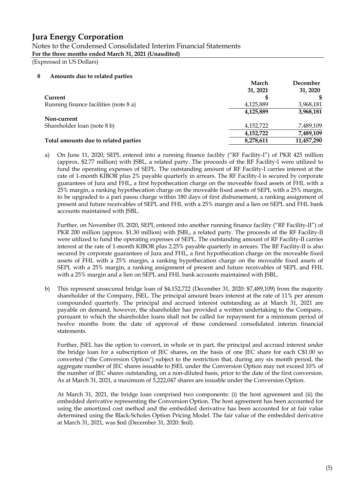Notes to the Condensed Consolidated Interim Financial Statements **For the three months ended March 31, 2021 (Unaudited)**

(Expressed in US Dollars)

#### **8 Amounts due to related parties**

|                                       | March     | December   |
|---------------------------------------|-----------|------------|
|                                       | 31, 2021  | 31, 2020   |
| Current                               |           |            |
| Running finance facilities (note 8 a) | 4,125,889 | 3,968,181  |
|                                       | 4,125,889 | 3,968,181  |
| Non-current                           |           |            |
| Shareholder loan (note 8 b)           | 4,152,722 | 7,489,109  |
|                                       | 4,152,722 | 7,489,109  |
| Total amounts due to related parties  | 8,278,611 | 11,457,290 |

a) On June 11, 2020, SEPL entered into a running finance facility ("RF Facility-I") of PKR 425 million (approx. \$2.77 million) with JSBL, a related party. The proceeds of the RF Facility-I were utilized to fund the operating expenses of SEPL. The outstanding amount of RF Facility-I carries interest at the rate of 1-month KIBOR plus 2% payable quarterly in arrears. The RF Facility-I is secured by corporate guarantees of Jura and FHL, a first hypothecation charge on the moveable fixed assets of FHL with a 25% margin, a ranking hypothecation charge on the moveable fixed assets of SEPL with a 25% margin, to be upgraded to a pari passu charge within 180 days of first disbursement, a ranking assignment of present and future receivables of SEPL and FHL with a 25% margin and a lien on SEPL and FHL bank accounts maintained with JSBL.

Further, on November 03, 2020, SEPL entered into another running finance facility ("RF Facility-II") of PKR 200 million (approx. \$1.30 million) with JSBL, a related party. The proceeds of the RF Facility-II were utilized to fund the operating expenses of SEPL. The outstanding amount of RF Facility-II carries interest at the rate of 1-month KIBOR plus 2.25% payable quarterly in arrears. The RF Facility-II is also secured by corporate guarantees of Jura and FHL, a first hypothecation charge on the moveable fixed assets of FHL with a 25% margin, a ranking hypothecation charge on the moveable fixed assets of SEPL with a 25% margin, a ranking assignment of present and future receivables of SEPL and FHL with a 25% margin and a lien on SEPL and FHL bank accounts maintained with JSBL.

b) This represent unsecured bridge loan of \$4,152,722 (December 31, 2020: \$7,489,109) from the majority shareholder of the Company, JSEL. The principal amount bears interest at the rate of 11% per annum compounded quarterly. The principal and accrued interest outstanding as at March 31, 2021 are payable on demand, however, the shareholder has provided a written undertaking to the Company, pursuant to which the shareholder loans shall not be called for repayment for a minimum period of twelve months from the date of approval of these condensed consolidated interim financial statements.

Further, JSEL has the option to convert, in whole or in part, the principal and accrued interest under the bridge loan for a subscription of JEC shares, on the basis of one JEC share for each C\$1.00 so converted ("the Conversion Option") subject to the restriction that, during any six month period, the aggregate number of JEC shares issuable to JSEL under the Conversion Option may not exceed 10% of the number of JEC shares outstanding, on a non-diluted basis, prior to the date of the first conversion. As at March 31, 2021, a maximum of 5,222,047 shares are issuable under the Conversion Option.

At March 31, 2021, the bridge loan comprised two components: (i) the host agreement and (ii) the embedded derivative representing the Conversion Option. The host agreement has been accounted for using the amortized cost method and the embedded derivative has been accounted for at fair value determined using the Black-Scholes Option Pricing Model. The fair value of the embedded derivative at March 31, 2021, was \$nil (December 31, 2020: \$nil).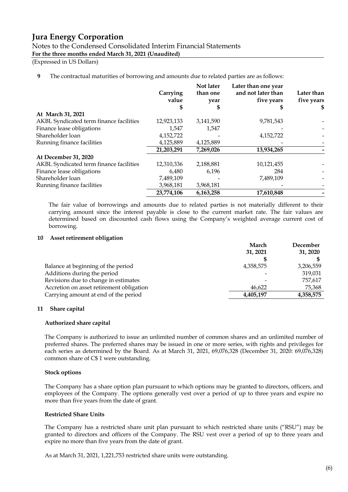Notes to the Condensed Consolidated Interim Financial Statements **For the three months ended March 31, 2021 (Unaudited)**

(Expressed in US Dollars)

#### **9** The contractual maturities of borrowing and amounts due to related parties are as follows:

|                                         | Carrying<br>value<br>J. | Not later<br>than one<br>year | Later than one year<br>and not later than<br>five years<br>Œ | Later than<br>five years<br>SS. |
|-----------------------------------------|-------------------------|-------------------------------|--------------------------------------------------------------|---------------------------------|
| At March 31, 2021                       |                         |                               |                                                              |                                 |
| AKBL Syndicated term finance facilities | 12,923,133              | 3,141,590                     | 9,781,543                                                    |                                 |
| Finance lease obligations               | 1,547                   | 1,547                         |                                                              |                                 |
| Shareholder loan                        | 4,152,722               |                               | 4,152,722                                                    |                                 |
| Running finance facilities              | 4,125,889               | 4,125,889                     |                                                              |                                 |
|                                         | 21,203,291              | 7,269,026                     | 13,934,265                                                   |                                 |
| At December 31, 2020                    |                         |                               |                                                              |                                 |
| AKBL Syndicated term finance facilities | 12,310,336              | 2,188,881                     | 10,121,455                                                   |                                 |
| Finance lease obligations               | 6,480                   | 6,196                         | 284                                                          |                                 |
| Shareholder loan                        | 7,489,109               |                               | 7,489,109                                                    |                                 |
| Running finance facilities              | 3,968,181               | 3,968,181                     |                                                              |                                 |
|                                         | 23,774,106              | 6,163,258                     | 17,610,848                                                   |                                 |

The fair value of borrowings and amounts due to related parties is not materially different to their carrying amount since the interest payable is close to the current market rate. The fair values are determined based on discounted cash flows using the Company's weighted average current cost of borrowing.

#### **10 Asset retirement obligation**

| March<br>31, 2021 | December<br>31, 2020 |
|-------------------|----------------------|
|                   |                      |
| 4,358,575         | 3,206,559            |
|                   | 319,031              |
|                   | 757,617              |
| 46.622            | 75,368               |
| 4,405,197         | 4,358,575            |
|                   |                      |

#### **11 Share capital**

#### **Authorized share capital**

The Company is authorized to issue an unlimited number of common shares and an unlimited number of preferred shares. The preferred shares may be issued in one or more series, with rights and privileges for each series as determined by the Board. As at March 31, 2021, 69,076,328 (December 31, 2020: 69,076,328) common share of C\$ 1 were outstanding.

#### **Stock options**

The Company has a share option plan pursuant to which options may be granted to directors, officers, and employees of the Company. The options generally vest over a period of up to three years and expire no more than five years from the date of grant.

#### **Restricted Share Units**

The Company has a restricted share unit plan pursuant to which restricted share units ("RSU") may be granted to directors and officers of the Company. The RSU vest over a period of up to three years and expire no more than five years from the date of grant.

As at March 31, 2021, 1,221,753 restricted share units were outstanding.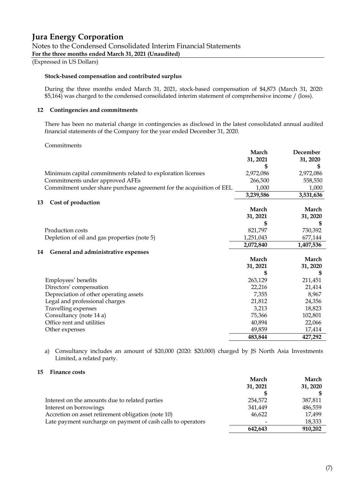(Expressed in US Dollars)

#### **Stock-based compensation and contributed surplus**

During the three months ended March 31, 2021, stock-based compensation of \$4,873 (March 31, 2020: \$5,164) was charged to the condensed consolidated interim statement of comprehensive income / (loss).

#### **12 Contingencies and commitments**

There has been no material change in contingencies as disclosed in the latest consolidated annual audited financial statements of the Company for the year ended December 31, 2020.

#### Commitments

|                                                                      | March<br>31, 2021 | December<br>31, 2020 |
|----------------------------------------------------------------------|-------------------|----------------------|
|                                                                      |                   |                      |
| Minimum capital commitments related to exploration licenses          | 2,972,086         | 2,972,086            |
| Commitments under approved AFEs                                      | 266,500           | 558,550              |
| Commitment under share purchase agreement for the acquisition of EEL | 1,000             | 1,000                |
|                                                                      | 3,239,586         | 3,531,636            |
| Cost of production<br>13                                             |                   |                      |
|                                                                      | March             | March                |
|                                                                      | 31, 2021          | 31, 2020             |
|                                                                      |                   |                      |
| Production costs                                                     | 821,797           | 730,392              |
| Depletion of oil and gas properties (note 5)                         | 1,251,043         | 677,144              |
|                                                                      | 2,072,840         | 1,407,536            |
| General and administrative expenses<br>14                            |                   |                      |
|                                                                      | March             | March                |
|                                                                      | 31, 2021          | 31, 2020             |
|                                                                      | S                 | \$                   |
| Employees' benefits                                                  | 263,129           | 211,451              |
| Directors' compensation                                              | 22,216            | 21,414               |
| Depreciation of other operating assets                               | 7,355             | 8,967                |
| Legal and professional charges                                       | 21,812            | 24,356               |
| Travelling expenses                                                  | 3,213             | 18,823               |
| Consultancy (note 14 a)                                              | 75,366            | 102,801              |
| Office rent and utilities                                            | 40,894            | 22,066               |
| Other expenses                                                       | 49,859            | 17,414               |
|                                                                      | 483,844           | 427,292              |
|                                                                      |                   |                      |

a) Consultancy includes an amount of \$20,000 (2020: \$20,000) charged by JS North Asia Investments Limited, a related party.

#### **15 Finance costs**

|                                                              | March    | March    |
|--------------------------------------------------------------|----------|----------|
|                                                              | 31, 2021 | 31, 2020 |
|                                                              |          |          |
| Interest on the amounts due to related parties               | 254,572  | 387,811  |
| Interest on borrowings                                       | 341,449  | 486,559  |
| Accretion on asset retirement obligation (note 10)           | 46,622   | 17,499   |
| Late payment surcharge on payment of cash calls to operators |          | 18,333   |
|                                                              | 642,643  | 910,202  |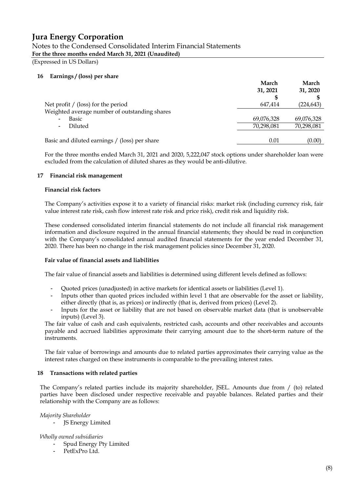Notes to the Condensed Consolidated Interim Financial Statements **For the three months ended March 31, 2021 (Unaudited)**

(Expressed in US Dollars)

#### **16 Earnings / (loss) per share**

|                                               | March<br>31, 2021 | March<br>31, 2020 |
|-----------------------------------------------|-------------------|-------------------|
| Net profit $/$ (loss) for the period          | 647.414           | (224, 643)        |
| Weighted average number of outstanding shares |                   |                   |
| Basic<br>$\overline{\phantom{a}}$             | 69,076,328        | 69,076,328        |
| Diluted<br>$\overline{\phantom{0}}$           | 70,298,081        | 70,298,081        |
|                                               |                   |                   |
| Basic and diluted earnings / (loss) per share | 0.01              | (0.00)            |

For the three months ended March 31, 2021 and 2020, 5,222,047 stock options under shareholder loan were excluded from the calculation of diluted shares as they would be anti-dilutive.

#### **17 Financial risk management**

#### **Financial risk factors**

The Company's activities expose it to a variety of financial risks: market risk (including currency risk, fair value interest rate risk, cash flow interest rate risk and price risk), credit risk and liquidity risk.

These condensed consolidated interim financial statements do not include all financial risk management information and disclosure required in the annual financial statements; they should be read in conjunction with the Company's consolidated annual audited financial statements for the year ended December 31, 2020. There has been no change in the risk management policies since December 31, 2020.

#### **Fair value of financial assets and liabilities**

The fair value of financial assets and liabilities is determined using different levels defined as follows:

- Quoted prices (unadjusted) in active markets for identical assets or liabilities (Level 1).
- Inputs other than quoted prices included within level 1 that are observable for the asset or liability, either directly (that is, as prices) or indirectly (that is, derived from prices) (Level 2).
- Inputs for the asset or liability that are not based on observable market data (that is unobservable inputs) (Level 3).

The fair value of cash and cash equivalents, restricted cash, accounts and other receivables and accounts payable and accrued liabilities approximate their carrying amount due to the short-term nature of the instruments.

The fair value of borrowings and amounts due to related parties approximates their carrying value as the interest rates charged on these instruments is comparable to the prevailing interest rates.

#### **18 Transactions with related parties**

The Company's related parties include its majority shareholder, JSEL. Amounts due from / (to) related parties have been disclosed under respective receivable and payable balances. Related parties and their relationship with the Company are as follows:

*Majority Shareholder*

**JS Energy Limited** 

#### *Wholly owned subsidiaries*

- Spud Energy Pty Limited
- PetExPro Ltd.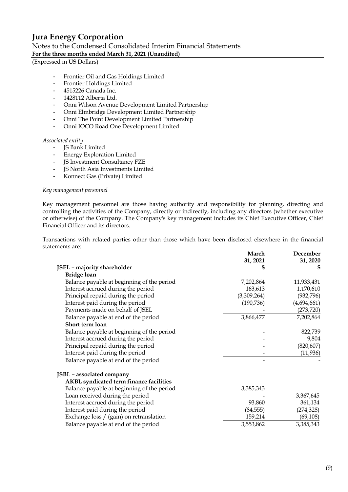Notes to the Condensed Consolidated Interim Financial Statements **For the three months ended March 31, 2021 (Unaudited)**

(Expressed in US Dollars)

- Frontier Oil and Gas Holdings Limited
- Frontier Holdings Limited
- 4515226 Canada Inc.
- 1428112 Alberta Ltd.
- Onni Wilson Avenue Development Limited Partnership
- Onni Elmbridge Development Limited Partnership
- Onni The Point Development Limited Partnership
- Onni IOCO Road One Development Limited

#### *Associated entity*

- JS Bank Limited
- Energy Exploration Limited
- JS Investment Consultancy FZE
- JS North Asia Investments Limited
- Konnect Gas (Private) Limited

#### *Key management personnel*

Key management personnel are those having authority and responsibility for planning, directing and controlling the activities of the Company, directly or indirectly, including any directors (whether executive or otherwise) of the Company. The Company's key management includes its Chief Executive Officer, Chief Financial Officer and its directors.

Transactions with related parties other than those which have been disclosed elsewhere in the financial statements are:

|                                            | March       | December    |
|--------------------------------------------|-------------|-------------|
|                                            | 31, 2021    | 31, 2020    |
| <b>JSEL</b> - majority shareholder         | S           |             |
| <b>Bridge loan</b>                         |             |             |
| Balance payable at beginning of the period | 7,202,864   | 11,933,431  |
| Interest accrued during the period         | 163,613     | 1,170,610   |
| Principal repaid during the period         | (3,309,264) | (932, 796)  |
| Interest paid during the period            | (190, 736)  | (4,694,661) |
| Payments made on behalf of JSEL            |             | (273, 720)  |
| Balance payable at end of the period       | 3,866,477   | 7,202,864   |
| Short term loan                            |             |             |
| Balance payable at beginning of the period |             | 822,739     |
| Interest accrued during the period         |             | 9,804       |
| Principal repaid during the period         |             | (820, 607)  |
| Interest paid during the period            |             | (11, 936)   |
| Balance payable at end of the period       |             |             |
| JSBL - associated company                  |             |             |
| AKBL syndicated term finance facilities    |             |             |
| Balance payable at beginning of the period | 3,385,343   |             |
| Loan received during the period            |             | 3,367,645   |
| Interest accrued during the period         | 93,860      | 361,134     |
| Interest paid during the period            | (84, 555)   | (274, 328)  |
| Exchange loss / (gain) on retranslation    | 159,214     | (69, 108)   |
| Balance payable at end of the period       | 3,553,862   | 3,385,343   |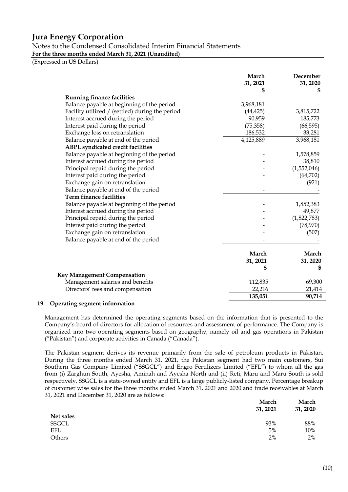Notes to the Condensed Consolidated Interim Financial Statements **For the three months ended March 31, 2021 (Unaudited)**

(Expressed in US Dollars)

|                                                 | March<br>31, 2021 | December<br>31, 2020 |
|-------------------------------------------------|-------------------|----------------------|
|                                                 | S                 | S                    |
| <b>Running finance facilities</b>               |                   |                      |
| Balance payable at beginning of the period      | 3,968,181         |                      |
| Facility utilized / (settled) during the period | (44, 425)         | 3,815,722            |
| Interest accrued during the period              | 90,959            | 185,773              |
| Interest paid during the period                 | (75, 358)         | (66, 595)            |
| Exchange loss on retranslation                  | 186,532           | 33,281               |
| Balance payable at end of the period            | 4,125,889         | 3,968,181            |
| <b>ABPL</b> syndicated credit facilities        |                   |                      |
| Balance payable at beginning of the period      |                   | 1,578,859            |
| Interest accrued during the period              |                   | 38,810               |
| Principal repaid during the period              |                   | (1,552,046)          |
| Interest paid during the period                 |                   | (64, 702)            |
| Exchange gain on retranslation                  |                   | (921)                |
| Balance payable at end of the period            |                   |                      |
| <b>Term finance facilities</b>                  |                   |                      |
| Balance payable at beginning of the period      |                   | 1,852,383            |
| Interest accrued during the period              |                   | 49,877               |
| Principal repaid during the period              |                   | (1,822,783)          |
| Interest paid during the period                 |                   | (78, 970)            |
| Exchange gain on retranslation                  |                   | (507)                |
| Balance payable at end of the period            |                   |                      |
|                                                 | March             | March                |
|                                                 | 31, 2021          | 31, 2020             |
|                                                 | \$                | S                    |
| Key Management Compensation                     |                   |                      |
| Management salaries and benefits                | 112,835           | 69,300               |
| Directors' fees and compensation                | 22,216            | 21,414               |
|                                                 | 135,051           | 90,714               |

#### **19 Operating segment information**

Management has determined the operating segments based on the information that is presented to the Company's board of directors for allocation of resources and assessment of performance. The Company is organized into two operating segments based on geography, namely oil and gas operations in Pakistan ("Pakistan") and corporate activities in Canada ("Canada").

The Pakistan segment derives its revenue primarily from the sale of petroleum products in Pakistan. During the three months ended March 31, 2021, the Pakistan segment had two main customers, Sui Southern Gas Company Limited ("SSGCL") and Engro Fertilizers Limited ("EFL") to whom all the gas from (i) Zarghun South, Ayesha, Aminah and Ayesha North and (ii) Reti, Maru and Maru South is sold respectively. SSGCL is a state-owned entity and EFL is a large publicly-listed company. Percentage breakup of customer wise sales for the three months ended March 31, 2021 and 2020 and trade receivables at March 31, 2021 and December 31, 2020 are as follows:

|              | March<br>31, 2021 | March<br>31, 2020 |
|--------------|-------------------|-------------------|
| Net sales    |                   |                   |
| <b>SSGCL</b> | 93%               | 88%               |
| <b>EFL</b>   | 5%                | 10%               |
| Others       | 2%                | 2%                |